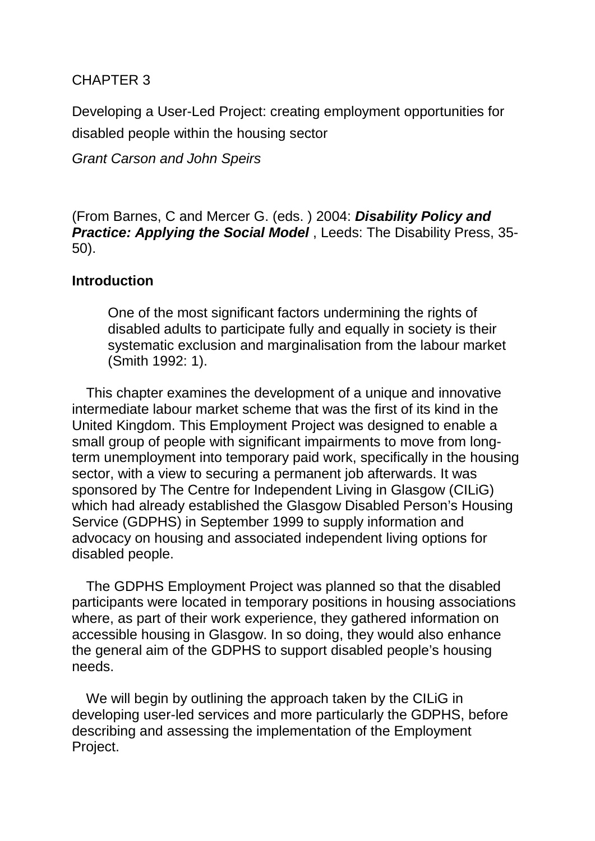# CHAPTER 3

Developing a User-Led Project: creating employment opportunities for disabled people within the housing sector

*Grant Carson and John Speirs*

(From Barnes, C and Mercer G. (eds. ) 2004: *Disability Policy and Practice: Applying the Social Model* , Leeds: The Disability Press, 35- 50).

# **Introduction**

One of the most significant factors undermining the rights of disabled adults to participate fully and equally in society is their systematic exclusion and marginalisation from the labour market (Smith 1992: 1).

This chapter examines the development of a unique and innovative intermediate labour market scheme that was the first of its kind in the United Kingdom. This Employment Project was designed to enable a small group of people with significant impairments to move from longterm unemployment into temporary paid work, specifically in the housing sector, with a view to securing a permanent job afterwards. It was sponsored by The Centre for Independent Living in Glasgow (CILiG) which had already established the Glasgow Disabled Person's Housing Service (GDPHS) in September 1999 to supply information and advocacy on housing and associated independent living options for disabled people.

The GDPHS Employment Project was planned so that the disabled participants were located in temporary positions in housing associations where, as part of their work experience, they gathered information on accessible housing in Glasgow. In so doing, they would also enhance the general aim of the GDPHS to support disabled people's housing needs.

We will begin by outlining the approach taken by the CILiG in developing user-led services and more particularly the GDPHS, before describing and assessing the implementation of the Employment Project.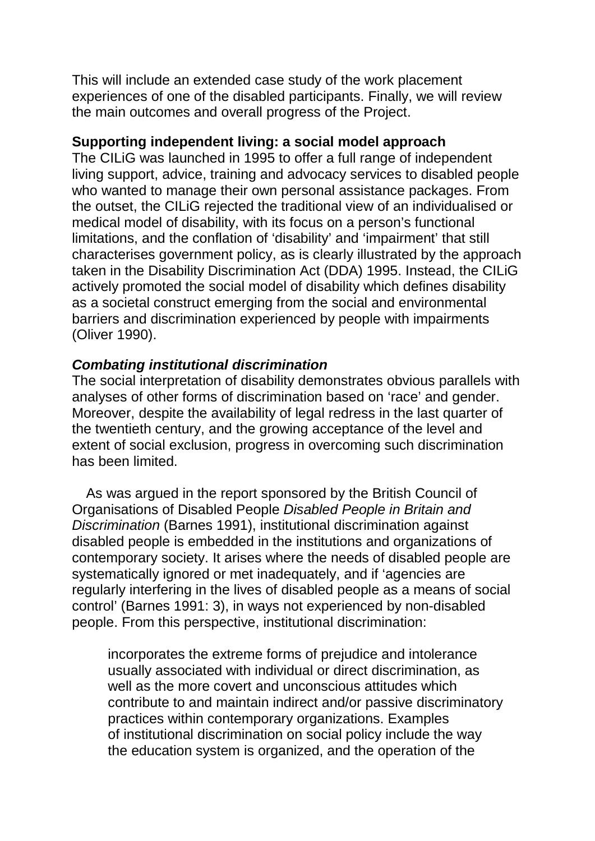This will include an extended case study of the work placement experiences of one of the disabled participants. Finally, we will review the main outcomes and overall progress of the Project.

### **Supporting independent living: a social model approach**

The CILiG was launched in 1995 to offer a full range of independent living support, advice, training and advocacy services to disabled people who wanted to manage their own personal assistance packages. From the outset, the CILiG rejected the traditional view of an individualised or medical model of disability, with its focus on a person's functional limitations, and the conflation of 'disability' and 'impairment' that still characterises government policy, as is clearly illustrated by the approach taken in the Disability Discrimination Act (DDA) 1995. Instead, the CILiG actively promoted the social model of disability which defines disability as a societal construct emerging from the social and environmental barriers and discrimination experienced by people with impairments (Oliver 1990).

# *Combating institutional discrimination*

The social interpretation of disability demonstrates obvious parallels with analyses of other forms of discrimination based on 'race' and gender. Moreover, despite the availability of legal redress in the last quarter of the twentieth century, and the growing acceptance of the level and extent of social exclusion, progress in overcoming such discrimination has been limited.

As was argued in the report sponsored by the British Council of Organisations of Disabled People *Disabled People in Britain and Discrimination* (Barnes 1991), institutional discrimination against disabled people is embedded in the institutions and organizations of contemporary society. It arises where the needs of disabled people are systematically ignored or met inadequately, and if 'agencies are regularly interfering in the lives of disabled people as a means of social control' (Barnes 1991: 3), in ways not experienced by non-disabled people. From this perspective, institutional discrimination:

incorporates the extreme forms of prejudice and intolerance usually associated with individual or direct discrimination, as well as the more covert and unconscious attitudes which contribute to and maintain indirect and/or passive discriminatory practices within contemporary organizations. Examples of institutional discrimination on social policy include the way the education system is organized, and the operation of the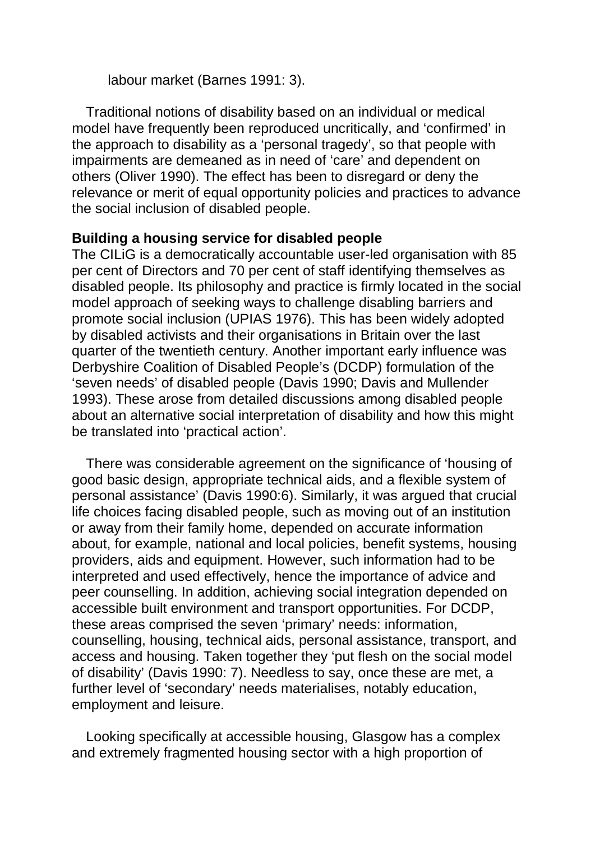labour market (Barnes 1991: 3).

Traditional notions of disability based on an individual or medical model have frequently been reproduced uncritically, and 'confirmed' in the approach to disability as a 'personal tragedy', so that people with impairments are demeaned as in need of 'care' and dependent on others (Oliver 1990). The effect has been to disregard or deny the relevance or merit of equal opportunity policies and practices to advance the social inclusion of disabled people.

#### **Building a housing service for disabled people**

The CILiG is a democratically accountable user-led organisation with 85 per cent of Directors and 70 per cent of staff identifying themselves as disabled people. Its philosophy and practice is firmly located in the social model approach of seeking ways to challenge disabling barriers and promote social inclusion (UPIAS 1976). This has been widely adopted by disabled activists and their organisations in Britain over the last quarter of the twentieth century. Another important early influence was Derbyshire Coalition of Disabled People's (DCDP) formulation of the 'seven needs' of disabled people (Davis 1990; Davis and Mullender 1993). These arose from detailed discussions among disabled people about an alternative social interpretation of disability and how this might be translated into 'practical action'.

There was considerable agreement on the significance of 'housing of good basic design, appropriate technical aids, and a flexible system of personal assistance' (Davis 1990:6). Similarly, it was argued that crucial life choices facing disabled people, such as moving out of an institution or away from their family home, depended on accurate information about, for example, national and local policies, benefit systems, housing providers, aids and equipment. However, such information had to be interpreted and used effectively, hence the importance of advice and peer counselling. In addition, achieving social integration depended on accessible built environment and transport opportunities. For DCDP, these areas comprised the seven 'primary' needs: information, counselling, housing, technical aids, personal assistance, transport, and access and housing. Taken together they 'put flesh on the social model of disability' (Davis 1990: 7). Needless to say, once these are met, a further level of 'secondary' needs materialises, notably education, employment and leisure.

Looking specifically at accessible housing, Glasgow has a complex and extremely fragmented housing sector with a high proportion of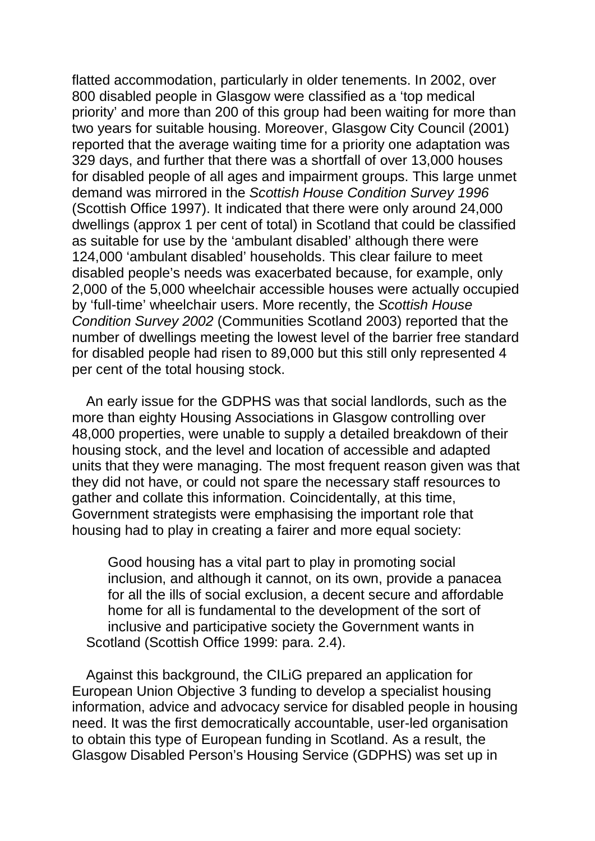flatted accommodation, particularly in older tenements. In 2002, over 800 disabled people in Glasgow were classified as a 'top medical priority' and more than 200 of this group had been waiting for more than two years for suitable housing. Moreover, Glasgow City Council (2001) reported that the average waiting time for a priority one adaptation was 329 days, and further that there was a shortfall of over 13,000 houses for disabled people of all ages and impairment groups. This large unmet demand was mirrored in the *Scottish House Condition Survey 1996*  (Scottish Office 1997). It indicated that there were only around 24,000 dwellings (approx 1 per cent of total) in Scotland that could be classified as suitable for use by the 'ambulant disabled' although there were 124,000 'ambulant disabled' households. This clear failure to meet disabled people's needs was exacerbated because, for example, only 2,000 of the 5,000 wheelchair accessible houses were actually occupied by 'full-time' wheelchair users. More recently, the *Scottish House Condition Survey 2002* (Communities Scotland 2003) reported that the number of dwellings meeting the lowest level of the barrier free standard for disabled people had risen to 89,000 but this still only represented 4 per cent of the total housing stock.

An early issue for the GDPHS was that social landlords, such as the more than eighty Housing Associations in Glasgow controlling over 48,000 properties, were unable to supply a detailed breakdown of their housing stock, and the level and location of accessible and adapted units that they were managing. The most frequent reason given was that they did not have, or could not spare the necessary staff resources to gather and collate this information. Coincidentally, at this time, Government strategists were emphasising the important role that housing had to play in creating a fairer and more equal society:

Good housing has a vital part to play in promoting social inclusion, and although it cannot, on its own, provide a panacea for all the ills of social exclusion, a decent secure and affordable home for all is fundamental to the development of the sort of inclusive and participative society the Government wants in Scotland (Scottish Office 1999: para. 2.4).

Against this background, the CILiG prepared an application for European Union Objective 3 funding to develop a specialist housing information, advice and advocacy service for disabled people in housing need. It was the first democratically accountable, user-led organisation to obtain this type of European funding in Scotland. As a result, the Glasgow Disabled Person's Housing Service (GDPHS) was set up in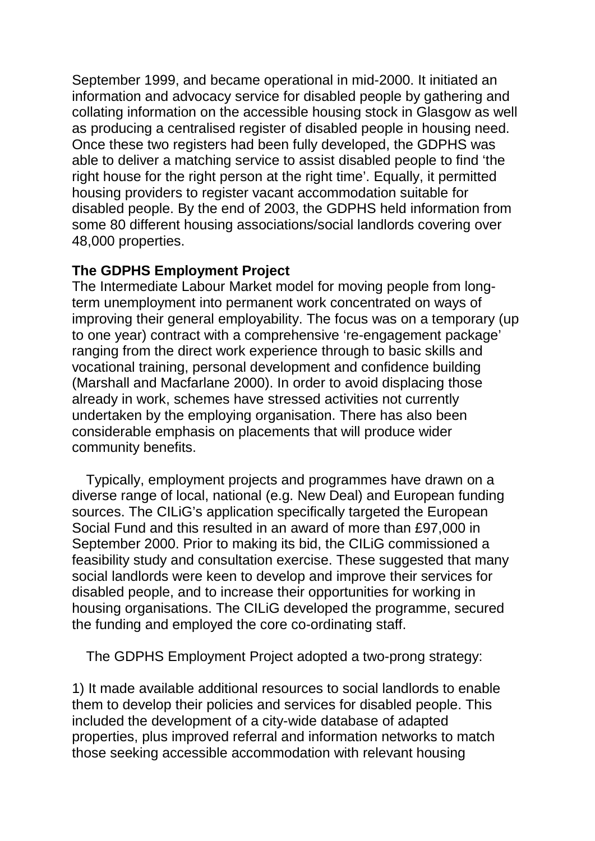September 1999, and became operational in mid-2000. It initiated an information and advocacy service for disabled people by gathering and collating information on the accessible housing stock in Glasgow as well as producing a centralised register of disabled people in housing need. Once these two registers had been fully developed, the GDPHS was able to deliver a matching service to assist disabled people to find 'the right house for the right person at the right time'. Equally, it permitted housing providers to register vacant accommodation suitable for disabled people. By the end of 2003, the GDPHS held information from some 80 different housing associations/social landlords covering over 48,000 properties.

# **The GDPHS Employment Project**

The Intermediate Labour Market model for moving people from longterm unemployment into permanent work concentrated on ways of improving their general employability. The focus was on a temporary (up to one year) contract with a comprehensive 're-engagement package' ranging from the direct work experience through to basic skills and vocational training, personal development and confidence building (Marshall and Macfarlane 2000). In order to avoid displacing those already in work, schemes have stressed activities not currently undertaken by the employing organisation. There has also been considerable emphasis on placements that will produce wider community benefits.

Typically, employment projects and programmes have drawn on a diverse range of local, national (e.g. New Deal) and European funding sources. The CILiG's application specifically targeted the European Social Fund and this resulted in an award of more than £97,000 in September 2000. Prior to making its bid, the CILiG commissioned a feasibility study and consultation exercise. These suggested that many social landlords were keen to develop and improve their services for disabled people, and to increase their opportunities for working in housing organisations. The CILiG developed the programme, secured the funding and employed the core co-ordinating staff.

The GDPHS Employment Project adopted a two-prong strategy:

1) It made available additional resources to social landlords to enable them to develop their policies and services for disabled people. This included the development of a city-wide database of adapted properties, plus improved referral and information networks to match those seeking accessible accommodation with relevant housing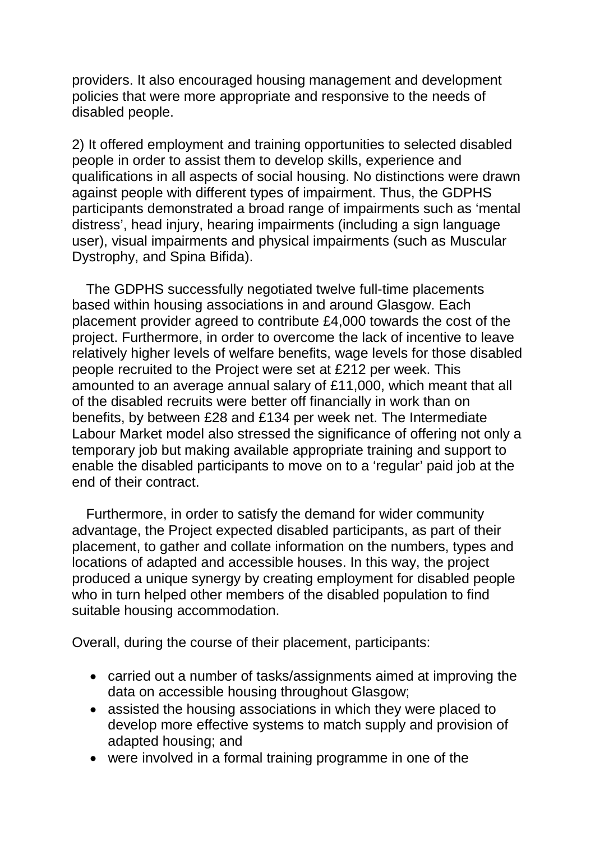providers. It also encouraged housing management and development policies that were more appropriate and responsive to the needs of disabled people.

2) It offered employment and training opportunities to selected disabled people in order to assist them to develop skills, experience and qualifications in all aspects of social housing. No distinctions were drawn against people with different types of impairment. Thus, the GDPHS participants demonstrated a broad range of impairments such as 'mental distress', head injury, hearing impairments (including a sign language user), visual impairments and physical impairments (such as Muscular Dystrophy, and Spina Bifida).

The GDPHS successfully negotiated twelve full-time placements based within housing associations in and around Glasgow. Each placement provider agreed to contribute £4,000 towards the cost of the project. Furthermore, in order to overcome the lack of incentive to leave relatively higher levels of welfare benefits, wage levels for those disabled people recruited to the Project were set at £212 per week. This amounted to an average annual salary of £11,000, which meant that all of the disabled recruits were better off financially in work than on benefits, by between £28 and £134 per week net. The Intermediate Labour Market model also stressed the significance of offering not only a temporary job but making available appropriate training and support to enable the disabled participants to move on to a 'regular' paid job at the end of their contract.

Furthermore, in order to satisfy the demand for wider community advantage, the Project expected disabled participants, as part of their placement, to gather and collate information on the numbers, types and locations of adapted and accessible houses. In this way, the project produced a unique synergy by creating employment for disabled people who in turn helped other members of the disabled population to find suitable housing accommodation.

Overall, during the course of their placement, participants:

- carried out a number of tasks/assignments aimed at improving the data on accessible housing throughout Glasgow;
- assisted the housing associations in which they were placed to develop more effective systems to match supply and provision of adapted housing; and
- were involved in a formal training programme in one of the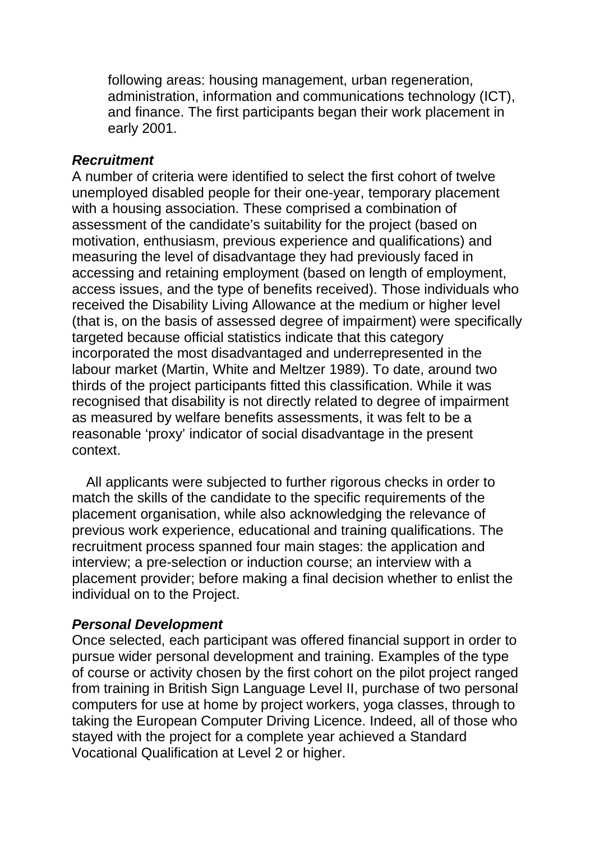following areas: housing management, urban regeneration, administration, information and communications technology (ICT), and finance. The first participants began their work placement in early 2001.

#### *Recruitment*

A number of criteria were identified to select the first cohort of twelve unemployed disabled people for their one-year, temporary placement with a housing association. These comprised a combination of assessment of the candidate's suitability for the project (based on motivation, enthusiasm, previous experience and qualifications) and measuring the level of disadvantage they had previously faced in accessing and retaining employment (based on length of employment, access issues, and the type of benefits received). Those individuals who received the Disability Living Allowance at the medium or higher level (that is, on the basis of assessed degree of impairment) were specifically targeted because official statistics indicate that this category incorporated the most disadvantaged and underrepresented in the labour market (Martin, White and Meltzer 1989). To date, around two thirds of the project participants fitted this classification. While it was recognised that disability is not directly related to degree of impairment as measured by welfare benefits assessments, it was felt to be a reasonable 'proxy' indicator of social disadvantage in the present context.

All applicants were subjected to further rigorous checks in order to match the skills of the candidate to the specific requirements of the placement organisation, while also acknowledging the relevance of previous work experience, educational and training qualifications. The recruitment process spanned four main stages: the application and interview; a pre-selection or induction course; an interview with a placement provider; before making a final decision whether to enlist the individual on to the Project.

### *Personal Development*

Once selected, each participant was offered financial support in order to pursue wider personal development and training. Examples of the type of course or activity chosen by the first cohort on the pilot project ranged from training in British Sign Language Level II, purchase of two personal computers for use at home by project workers, yoga classes, through to taking the European Computer Driving Licence. Indeed, all of those who stayed with the project for a complete year achieved a Standard Vocational Qualification at Level 2 or higher.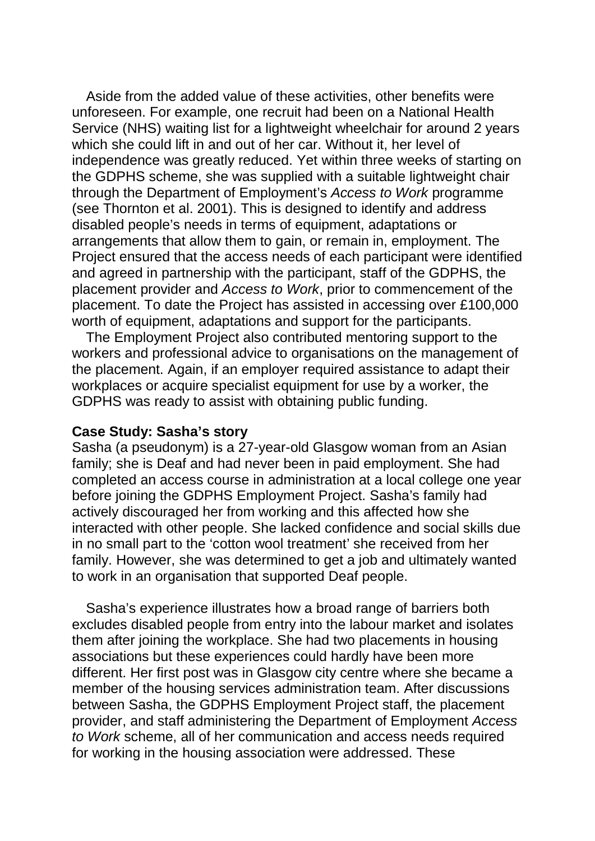Aside from the added value of these activities, other benefits were unforeseen. For example, one recruit had been on a National Health Service (NHS) waiting list for a lightweight wheelchair for around 2 years which she could lift in and out of her car. Without it, her level of independence was greatly reduced. Yet within three weeks of starting on the GDPHS scheme, she was supplied with a suitable lightweight chair through the Department of Employment's *Access to Work* programme (see Thornton et al. 2001). This is designed to identify and address disabled people's needs in terms of equipment, adaptations or arrangements that allow them to gain, or remain in, employment. The Project ensured that the access needs of each participant were identified and agreed in partnership with the participant, staff of the GDPHS, the placement provider and *Access to Work*, prior to commencement of the placement. To date the Project has assisted in accessing over £100,000 worth of equipment, adaptations and support for the participants.

The Employment Project also contributed mentoring support to the workers and professional advice to organisations on the management of the placement. Again, if an employer required assistance to adapt their workplaces or acquire specialist equipment for use by a worker, the GDPHS was ready to assist with obtaining public funding.

#### **Case Study: Sasha's story**

Sasha (a pseudonym) is a 27-year-old Glasgow woman from an Asian family; she is Deaf and had never been in paid employment. She had completed an access course in administration at a local college one year before joining the GDPHS Employment Project. Sasha's family had actively discouraged her from working and this affected how she interacted with other people. She lacked confidence and social skills due in no small part to the 'cotton wool treatment' she received from her family. However, she was determined to get a job and ultimately wanted to work in an organisation that supported Deaf people.

Sasha's experience illustrates how a broad range of barriers both excludes disabled people from entry into the labour market and isolates them after joining the workplace. She had two placements in housing associations but these experiences could hardly have been more different. Her first post was in Glasgow city centre where she became a member of the housing services administration team. After discussions between Sasha, the GDPHS Employment Project staff, the placement provider, and staff administering the Department of Employment *Access to Work* scheme, all of her communication and access needs required for working in the housing association were addressed. These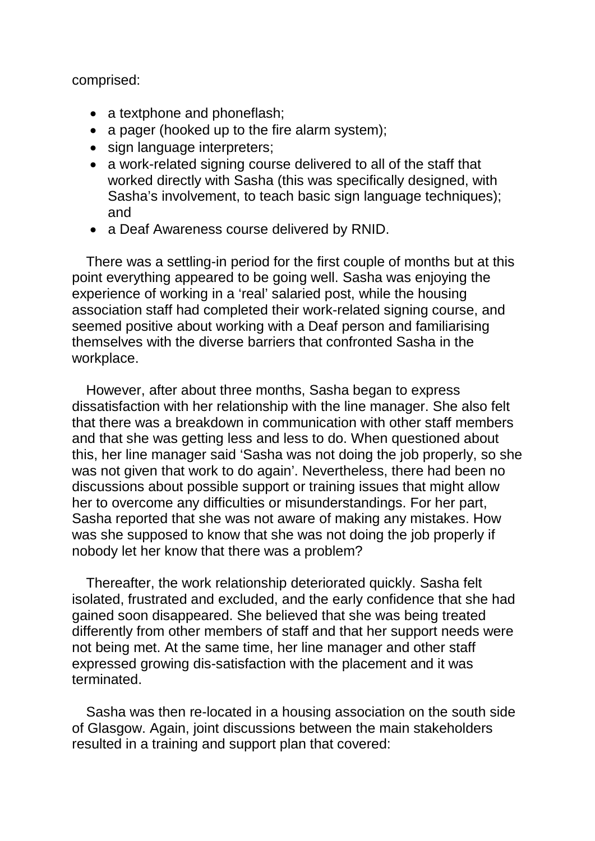comprised:

- a textphone and phoneflash;
- a pager (hooked up to the fire alarm system);
- sign language interpreters;
- a work-related signing course delivered to all of the staff that worked directly with Sasha (this was specifically designed, with Sasha's involvement, to teach basic sign language techniques); and
- a Deaf Awareness course delivered by RNID.

There was a settling-in period for the first couple of months but at this point everything appeared to be going well. Sasha was enjoying the experience of working in a 'real' salaried post, while the housing association staff had completed their work-related signing course, and seemed positive about working with a Deaf person and familiarising themselves with the diverse barriers that confronted Sasha in the workplace.

However, after about three months, Sasha began to express dissatisfaction with her relationship with the line manager. She also felt that there was a breakdown in communication with other staff members and that she was getting less and less to do. When questioned about this, her line manager said 'Sasha was not doing the job properly, so she was not given that work to do again'. Nevertheless, there had been no discussions about possible support or training issues that might allow her to overcome any difficulties or misunderstandings. For her part, Sasha reported that she was not aware of making any mistakes. How was she supposed to know that she was not doing the job properly if nobody let her know that there was a problem?

Thereafter, the work relationship deteriorated quickly. Sasha felt isolated, frustrated and excluded, and the early confidence that she had gained soon disappeared. She believed that she was being treated differently from other members of staff and that her support needs were not being met. At the same time, her line manager and other staff expressed growing dis-satisfaction with the placement and it was terminated.

Sasha was then re-located in a housing association on the south side of Glasgow. Again, joint discussions between the main stakeholders resulted in a training and support plan that covered: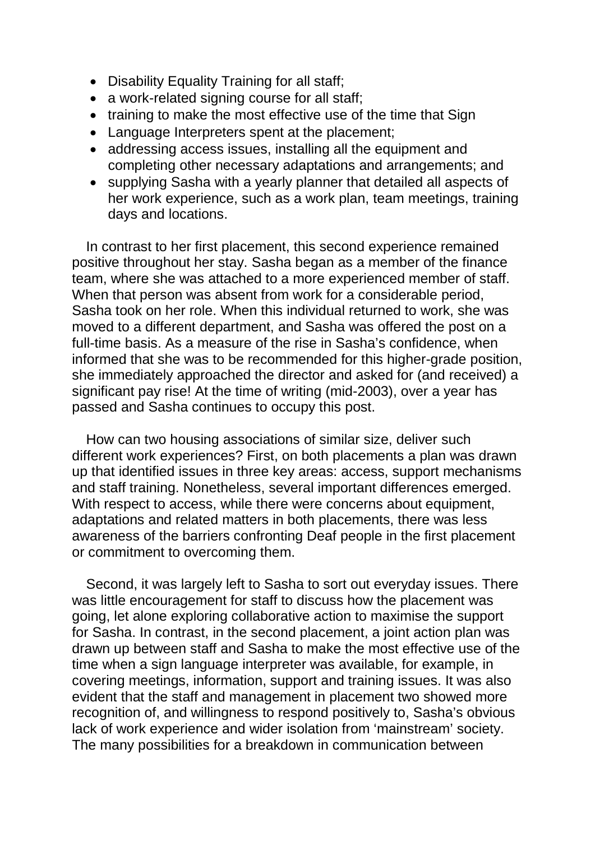- Disability Equality Training for all staff;
- a work-related signing course for all staff:
- training to make the most effective use of the time that Sign
- Language Interpreters spent at the placement;
- addressing access issues, installing all the equipment and completing other necessary adaptations and arrangements; and
- supplying Sasha with a yearly planner that detailed all aspects of her work experience, such as a work plan, team meetings, training days and locations.

In contrast to her first placement, this second experience remained positive throughout her stay. Sasha began as a member of the finance team, where she was attached to a more experienced member of staff. When that person was absent from work for a considerable period, Sasha took on her role. When this individual returned to work, she was moved to a different department, and Sasha was offered the post on a full-time basis. As a measure of the rise in Sasha's confidence, when informed that she was to be recommended for this higher-grade position, she immediately approached the director and asked for (and received) a significant pay rise! At the time of writing (mid-2003), over a year has passed and Sasha continues to occupy this post.

How can two housing associations of similar size, deliver such different work experiences? First, on both placements a plan was drawn up that identified issues in three key areas: access, support mechanisms and staff training. Nonetheless, several important differences emerged. With respect to access, while there were concerns about equipment, adaptations and related matters in both placements, there was less awareness of the barriers confronting Deaf people in the first placement or commitment to overcoming them.

Second, it was largely left to Sasha to sort out everyday issues. There was little encouragement for staff to discuss how the placement was going, let alone exploring collaborative action to maximise the support for Sasha. In contrast, in the second placement, a joint action plan was drawn up between staff and Sasha to make the most effective use of the time when a sign language interpreter was available, for example, in covering meetings, information, support and training issues. It was also evident that the staff and management in placement two showed more recognition of, and willingness to respond positively to, Sasha's obvious lack of work experience and wider isolation from 'mainstream' society. The many possibilities for a breakdown in communication between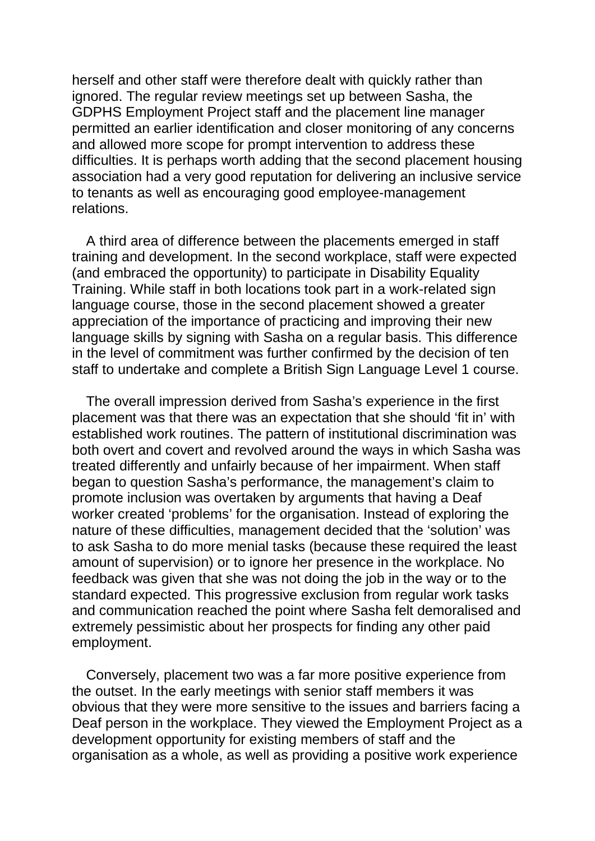herself and other staff were therefore dealt with quickly rather than ignored. The regular review meetings set up between Sasha, the GDPHS Employment Project staff and the placement line manager permitted an earlier identification and closer monitoring of any concerns and allowed more scope for prompt intervention to address these difficulties. It is perhaps worth adding that the second placement housing association had a very good reputation for delivering an inclusive service to tenants as well as encouraging good employee-management relations.

A third area of difference between the placements emerged in staff training and development. In the second workplace, staff were expected (and embraced the opportunity) to participate in Disability Equality Training. While staff in both locations took part in a work-related sign language course, those in the second placement showed a greater appreciation of the importance of practicing and improving their new language skills by signing with Sasha on a regular basis. This difference in the level of commitment was further confirmed by the decision of ten staff to undertake and complete a British Sign Language Level 1 course.

The overall impression derived from Sasha's experience in the first placement was that there was an expectation that she should 'fit in' with established work routines. The pattern of institutional discrimination was both overt and covert and revolved around the ways in which Sasha was treated differently and unfairly because of her impairment. When staff began to question Sasha's performance, the management's claim to promote inclusion was overtaken by arguments that having a Deaf worker created 'problems' for the organisation. Instead of exploring the nature of these difficulties, management decided that the 'solution' was to ask Sasha to do more menial tasks (because these required the least amount of supervision) or to ignore her presence in the workplace. No feedback was given that she was not doing the job in the way or to the standard expected. This progressive exclusion from regular work tasks and communication reached the point where Sasha felt demoralised and extremely pessimistic about her prospects for finding any other paid employment.

Conversely, placement two was a far more positive experience from the outset. In the early meetings with senior staff members it was obvious that they were more sensitive to the issues and barriers facing a Deaf person in the workplace. They viewed the Employment Project as a development opportunity for existing members of staff and the organisation as a whole, as well as providing a positive work experience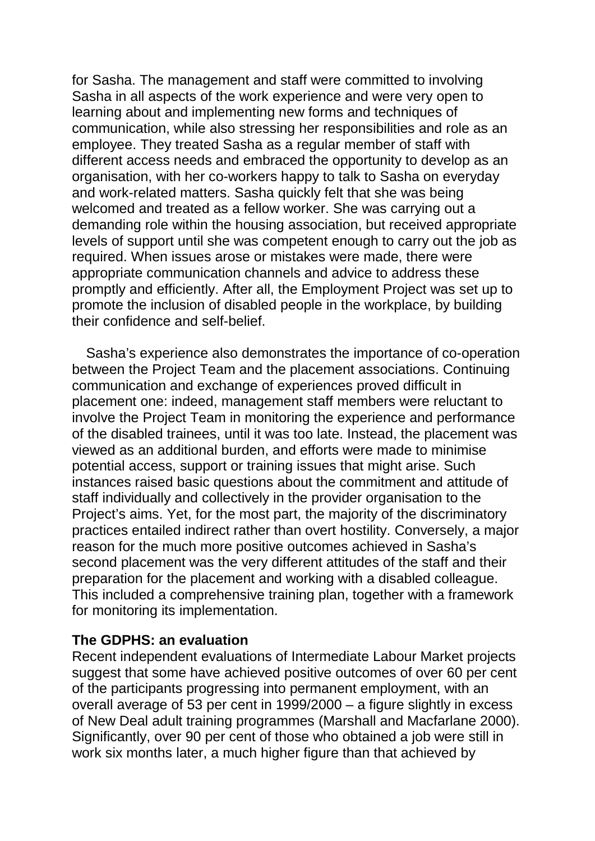for Sasha. The management and staff were committed to involving Sasha in all aspects of the work experience and were very open to learning about and implementing new forms and techniques of communication, while also stressing her responsibilities and role as an employee. They treated Sasha as a regular member of staff with different access needs and embraced the opportunity to develop as an organisation, with her co-workers happy to talk to Sasha on everyday and work-related matters. Sasha quickly felt that she was being welcomed and treated as a fellow worker. She was carrying out a demanding role within the housing association, but received appropriate levels of support until she was competent enough to carry out the job as required. When issues arose or mistakes were made, there were appropriate communication channels and advice to address these promptly and efficiently. After all, the Employment Project was set up to promote the inclusion of disabled people in the workplace, by building their confidence and self-belief.

Sasha's experience also demonstrates the importance of co-operation between the Project Team and the placement associations. Continuing communication and exchange of experiences proved difficult in placement one: indeed, management staff members were reluctant to involve the Project Team in monitoring the experience and performance of the disabled trainees, until it was too late. Instead, the placement was viewed as an additional burden, and efforts were made to minimise potential access, support or training issues that might arise. Such instances raised basic questions about the commitment and attitude of staff individually and collectively in the provider organisation to the Project's aims. Yet, for the most part, the majority of the discriminatory practices entailed indirect rather than overt hostility. Conversely, a major reason for the much more positive outcomes achieved in Sasha's second placement was the very different attitudes of the staff and their preparation for the placement and working with a disabled colleague. This included a comprehensive training plan, together with a framework for monitoring its implementation.

### **The GDPHS: an evaluation**

Recent independent evaluations of Intermediate Labour Market projects suggest that some have achieved positive outcomes of over 60 per cent of the participants progressing into permanent employment, with an overall average of 53 per cent in 1999/2000 – a figure slightly in excess of New Deal adult training programmes (Marshall and Macfarlane 2000). Significantly, over 90 per cent of those who obtained a job were still in work six months later, a much higher figure than that achieved by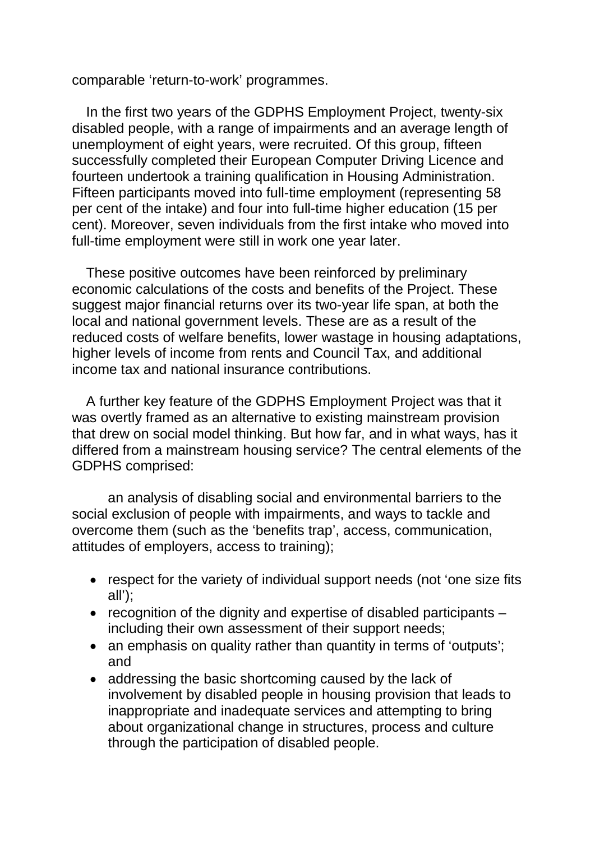comparable 'return-to-work' programmes.

In the first two years of the GDPHS Employment Project, twenty-six disabled people, with a range of impairments and an average length of unemployment of eight years, were recruited. Of this group, fifteen successfully completed their European Computer Driving Licence and fourteen undertook a training qualification in Housing Administration. Fifteen participants moved into full-time employment (representing 58 per cent of the intake) and four into full-time higher education (15 per cent). Moreover, seven individuals from the first intake who moved into full-time employment were still in work one year later.

These positive outcomes have been reinforced by preliminary economic calculations of the costs and benefits of the Project. These suggest major financial returns over its two-year life span, at both the local and national government levels. These are as a result of the reduced costs of welfare benefits, lower wastage in housing adaptations, higher levels of income from rents and Council Tax, and additional income tax and national insurance contributions.

A further key feature of the GDPHS Employment Project was that it was overtly framed as an alternative to existing mainstream provision that drew on social model thinking. But how far, and in what ways, has it differed from a mainstream housing service? The central elements of the GDPHS comprised:

an analysis of disabling social and environmental barriers to the social exclusion of people with impairments, and ways to tackle and overcome them (such as the 'benefits trap', access, communication, attitudes of employers, access to training);

- respect for the variety of individual support needs (not 'one size fits all');
- recognition of the dignity and expertise of disabled participants including their own assessment of their support needs;
- an emphasis on quality rather than quantity in terms of 'outputs'; and
- addressing the basic shortcoming caused by the lack of involvement by disabled people in housing provision that leads to inappropriate and inadequate services and attempting to bring about organizational change in structures, process and culture through the participation of disabled people.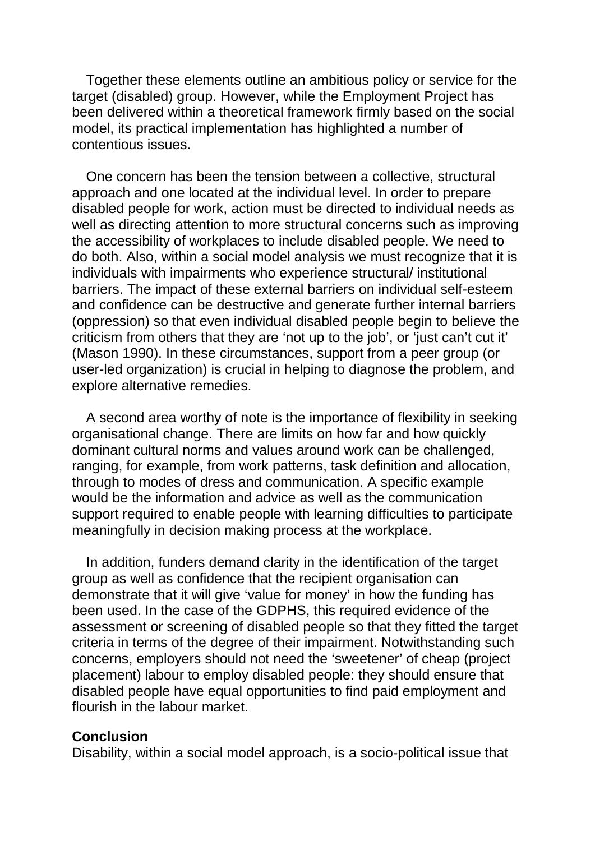Together these elements outline an ambitious policy or service for the target (disabled) group. However, while the Employment Project has been delivered within a theoretical framework firmly based on the social model, its practical implementation has highlighted a number of contentious issues.

One concern has been the tension between a collective, structural approach and one located at the individual level. In order to prepare disabled people for work, action must be directed to individual needs as well as directing attention to more structural concerns such as improving the accessibility of workplaces to include disabled people. We need to do both. Also, within a social model analysis we must recognize that it is individuals with impairments who experience structural/ institutional barriers. The impact of these external barriers on individual self-esteem and confidence can be destructive and generate further internal barriers (oppression) so that even individual disabled people begin to believe the criticism from others that they are 'not up to the job', or 'just can't cut it' (Mason 1990). In these circumstances, support from a peer group (or user-led organization) is crucial in helping to diagnose the problem, and explore alternative remedies.

A second area worthy of note is the importance of flexibility in seeking organisational change. There are limits on how far and how quickly dominant cultural norms and values around work can be challenged, ranging, for example, from work patterns, task definition and allocation, through to modes of dress and communication. A specific example would be the information and advice as well as the communication support required to enable people with learning difficulties to participate meaningfully in decision making process at the workplace.

In addition, funders demand clarity in the identification of the target group as well as confidence that the recipient organisation can demonstrate that it will give 'value for money' in how the funding has been used. In the case of the GDPHS, this required evidence of the assessment or screening of disabled people so that they fitted the target criteria in terms of the degree of their impairment. Notwithstanding such concerns, employers should not need the 'sweetener' of cheap (project placement) labour to employ disabled people: they should ensure that disabled people have equal opportunities to find paid employment and flourish in the labour market.

#### **Conclusion**

Disability, within a social model approach, is a socio-political issue that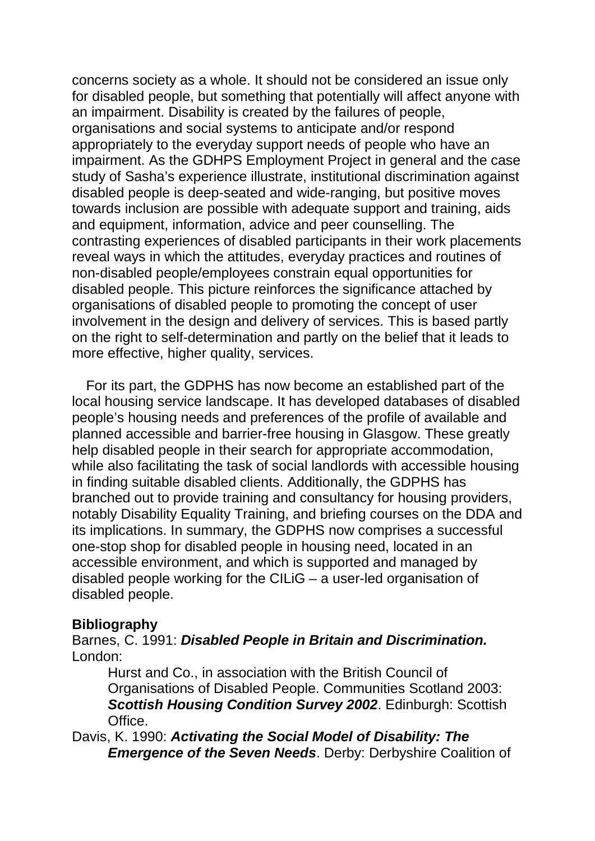concerns society as a whole. It should not be considered an issue only for disabled people, but something that potentially will affect anyone with an impairment. Disability is created by the failures of people, organisations and social systems to anticipate and/or respond appropriately to the everyday support needs of people who have an impairment. As the GDHPS Employment Project in general and the case study of Sasha's experience illustrate, institutional discrimination against disabled people is deep-seated and wide-ranging, but positive moves towards inclusion are possible with adequate support and training, aids and equipment, information, advice and peer counselling. The contrasting experiences of disabled participants in their work placements reveal ways in which the attitudes, everyday practices and routines of non-disabled people/employees constrain equal opportunities for disabled people. This picture reinforces the significance attached by organisations of disabled people to promoting the concept of user involvement in the design and delivery of services. This is based partly on the right to self-determination and partly on the belief that it leads to more effective, higher quality, services.

For its part, the GDPHS has now become an established part of the local housing service landscape. It has developed databases of disabled people's housing needs and preferences of the profile of available and planned accessible and barrier-free housing in Glasgow. These greatly help disabled people in their search for appropriate accommodation, while also facilitating the task of social landlords with accessible housing in finding suitable disabled clients. Additionally, the GDPHS has branched out to provide training and consultancy for housing providers, notably Disability Equality Training, and briefing courses on the DDA and its implications. In summary, the GDPHS now comprises a successful one-stop shop for disabled people in housing need, located in an accessible environment, and which is supported and managed by disabled people working for the CILiG – a user-led organisation of disabled people.

### **Bibliography**

Barnes, C. 1991: *Disabled People in Britain and Discrimination.*  London:

Hurst and Co., in association with the British Council of Organisations of Disabled People. Communities Scotland 2003: *Scottish Housing Condition Survey 2002*. Edinburgh: Scottish Office.

Davis, K. 1990: *Activating the Social Model of Disability: The Emergence of the Seven Needs*. Derby: Derbyshire Coalition of